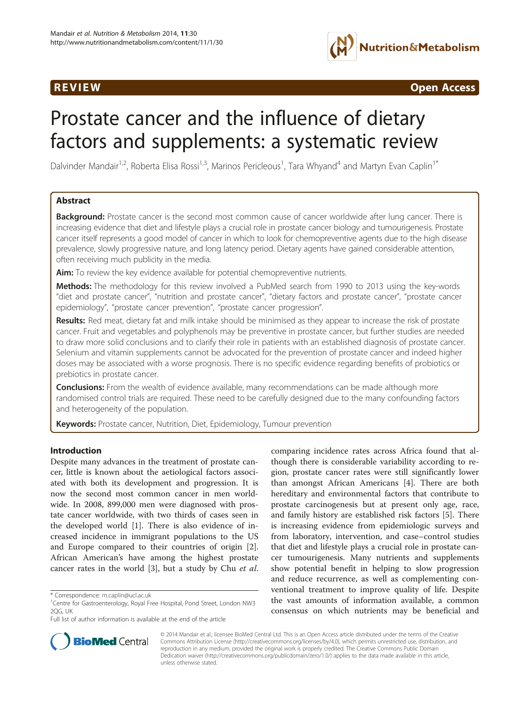

**REVIEW CONSIDERING CONSIDERING CONSIDERING CONSIDERING CONSIDERING CONSIDERING CONSIDERING CONSIDERING CONSIDERING CONSIDERING CONSIDERING CONSIDERING CONSIDERING CONSIDERING CONSIDERING CONSIDERING CONSIDERING CONSIDER** 

# Prostate cancer and the influence of dietary factors and supplements: a systematic review

Dalvinder Mandair<sup>1,2</sup>, Roberta Elisa Rossi<sup>1,3</sup>, Marinos Pericleous<sup>1</sup>, Tara Whyand<sup>4</sup> and Martyn Evan Caplin<sup>1\*</sup>

# Abstract

Background: Prostate cancer is the second most common cause of cancer worldwide after lung cancer. There is increasing evidence that diet and lifestyle plays a crucial role in prostate cancer biology and tumourigenesis. Prostate cancer itself represents a good model of cancer in which to look for chemopreventive agents due to the high disease prevalence, slowly progressive nature, and long latency period. Dietary agents have gained considerable attention, often receiving much publicity in the media.

Aim: To review the key evidence available for potential chemopreventive nutrients.

Methods: The methodology for this review involved a PubMed search from 1990 to 2013 using the key-words "diet and prostate cancer", "nutrition and prostate cancer", "dietary factors and prostate cancer", "prostate cancer epidemiology", "prostate cancer prevention", "prostate cancer progression".

Results: Red meat, dietary fat and milk intake should be minimised as they appear to increase the risk of prostate cancer. Fruit and vegetables and polyphenols may be preventive in prostate cancer, but further studies are needed to draw more solid conclusions and to clarify their role in patients with an established diagnosis of prostate cancer. Selenium and vitamin supplements cannot be advocated for the prevention of prostate cancer and indeed higher doses may be associated with a worse prognosis. There is no specific evidence regarding benefits of probiotics or prebiotics in prostate cancer.

**Conclusions:** From the wealth of evidence available, many recommendations can be made although more randomised control trials are required. These need to be carefully designed due to the many confounding factors and heterogeneity of the population.

Keywords: Prostate cancer, Nutrition, Diet, Epidemiology, Tumour prevention

# Introduction

Despite many advances in the treatment of prostate cancer, little is known about the aetiological factors associated with both its development and progression. It is now the second most common cancer in men worldwide. In 2008, 899,000 men were diagnosed with prostate cancer worldwide, with two thirds of cases seen in the developed world [\[1](#page-8-0)]. There is also evidence of increased incidence in immigrant populations to the US and Europe compared to their countries of origin [\[2](#page-8-0)]. African American's have among the highest prostate cancer rates in the world [\[3](#page-8-0)], but a study by Chu et al. comparing incidence rates across Africa found that although there is considerable variability according to region, prostate cancer rates were still significantly lower than amongst African Americans [[4\]](#page-8-0). There are both hereditary and environmental factors that contribute to prostate carcinogenesis but at present only age, race, and family history are established risk factors [[5](#page-8-0)]. There is increasing evidence from epidemiologic surveys and from laboratory, intervention, and case–control studies that diet and lifestyle plays a crucial role in prostate cancer tumourigenesis. Many nutrients and supplements show potential benefit in helping to slow progression and reduce recurrence, as well as complementing conventional treatment to improve quality of life. Despite the vast amounts of information available, a common consensus on which nutrients may be beneficial and



© 2014 Mandair et al.; licensee BioMed Central Ltd. This is an Open Access article distributed under the terms of the Creative Commons Attribution License [\(http://creativecommons.org/licenses/by/4.0\)](http://creativecommons.org/licenses/by/4.0), which permits unrestricted use, distribution, and reproduction in any medium, provided the original work is properly credited. The Creative Commons Public Domain Dedication waiver [\(http://creativecommons.org/publicdomain/zero/1.0/](http://creativecommons.org/publicdomain/zero/1.0/)) applies to the data made available in this article, unless otherwise stated.

<sup>\*</sup> Correspondence: [m.caplin@ucl.ac.uk](mailto:m.caplin@ucl.ac.uk) <sup>1</sup>

<sup>&</sup>lt;sup>1</sup> Centre for Gastroenterology, Royal Free Hospital, Pond Street, London NW3 2QG, UK

Full list of author information is available at the end of the article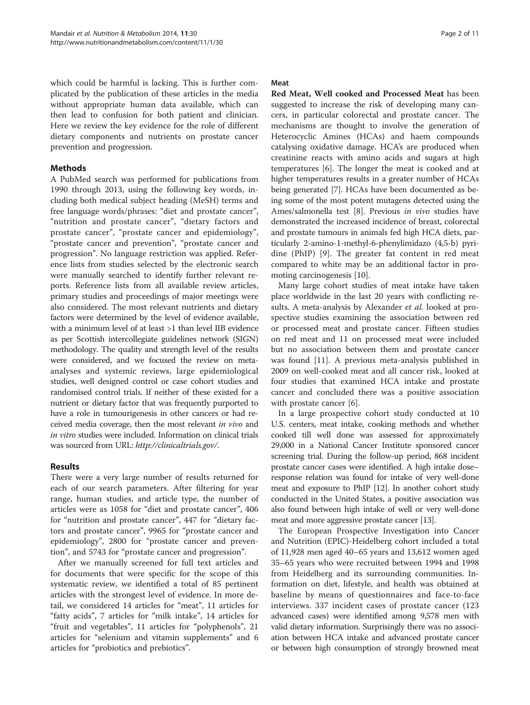which could be harmful is lacking. This is further complicated by the publication of these articles in the media without appropriate human data available, which can then lead to confusion for both patient and clinician. Here we review the key evidence for the role of different dietary components and nutrients on prostate cancer prevention and progression.

# Methods

A PubMed search was performed for publications from 1990 through 2013, using the following key words, including both medical subject heading (MeSH) terms and free language words/phrases: "diet and prostate cancer", "nutrition and prostate cancer", "dietary factors and prostate cancer", "prostate cancer and epidemiology", "prostate cancer and prevention", "prostate cancer and progression". No language restriction was applied. Reference lists from studies selected by the electronic search were manually searched to identify further relevant reports. Reference lists from all available review articles, primary studies and proceedings of major meetings were also considered. The most relevant nutrients and dietary factors were determined by the level of evidence available, with a minimum level of at least >1 than level IIB evidence as per Scottish intercollegiate guidelines network (SIGN) methodology. The quality and strength level of the results were considered, and we focused the review on metaanalyses and systemic reviews, large epidemiological studies, well designed control or case cohort studies and randomised control trials. If neither of these existed for a nutrient or dietary factor that was frequently purported to have a role in tumourigenesis in other cancers or had received media coverage, then the most relevant in vivo and in vitro studies were included. Information on clinical trials was sourced from URL: <http://clinicaltrials.gov/>.

# Results

There were a very large number of results returned for each of our search parameters. After filtering for year range, human studies, and article type, the number of articles were as 1058 for "diet and prostate cancer", 406 for "nutrition and prostate cancer", 447 for "dietary factors and prostate cancer", 9965 for "prostate cancer and epidemiology", 2800 for "prostate cancer and prevention", and 5743 for "prostate cancer and progression".

After we manually screened for full text articles and for documents that were specific for the scope of this systematic review, we identified a total of 85 pertinent articles with the strongest level of evidence. In more detail, we considered 14 articles for "meat", 11 articles for "fatty acids", 7 articles for "milk intake", 14 articles for "fruit and vegetables", 11 articles for "polyphenols", 21 articles for "selenium and vitamin supplements" and 6 articles for "probiotics and prebiotics".

#### Meat

Red Meat, Well cooked and Processed Meat has been suggested to increase the risk of developing many cancers, in particular colorectal and prostate cancer. The mechanisms are thought to involve the generation of Heterocyclic Amines (HCAs) and haem compounds catalysing oxidative damage. HCA's are produced when creatinine reacts with amino acids and sugars at high temperatures [\[6](#page-8-0)]. The longer the meat is cooked and at higher temperatures results in a greater number of HCAs being generated [\[7](#page-8-0)]. HCAs have been documented as being some of the most potent mutagens detected using the Ames/salmonella test [\[8](#page-8-0)]. Previous in vivo studies have demonstrated the increased incidence of breast, colorectal and prostate tumours in animals fed high HCA diets, particularly 2-amino-1-methyl-6-phenylimidazo (4,5-b) pyridine (PhIP) [[9\]](#page-8-0). The greater fat content in red meat compared to white may be an additional factor in promoting carcinogenesis [\[10\]](#page-8-0).

Many large cohort studies of meat intake have taken place worldwide in the last 20 years with conflicting results. A meta-analysis by Alexander *et al.* looked at prospective studies examining the association between red or processed meat and prostate cancer. Fifteen studies on red meat and 11 on processed meat were included but no association between them and prostate cancer was found [\[11\]](#page-8-0). A previous meta-analysis published in 2009 on well-cooked meat and all cancer risk, looked at four studies that examined HCA intake and prostate cancer and concluded there was a positive association with prostate cancer [\[6](#page-8-0)].

In a large prospective cohort study conducted at 10 U.S. centers, meat intake, cooking methods and whether cooked till well done was assessed for approximately 29,000 in a National Cancer Institute sponsored cancer screening trial. During the follow-up period, 868 incident prostate cancer cases were identified. A high intake dose– response relation was found for intake of very well-done meat and exposure to PhIP [\[12\]](#page-8-0). In another cohort study conducted in the United States, a positive association was also found between high intake of well or very well-done meat and more aggressive prostate cancer [[13](#page-8-0)].

The European Prospective Investigation into Cancer and Nutrition (EPIC)-Heidelberg cohort included a total of 11,928 men aged 40–65 years and 13,612 women aged 35–65 years who were recruited between 1994 and 1998 from Heidelberg and its surrounding communities. Information on diet, lifestyle, and health was obtained at baseline by means of questionnaires and face-to-face interviews. 337 incident cases of prostate cancer (123 advanced cases) were identified among 9,578 men with valid dietary information. Surprisingly there was no association between HCA intake and advanced prostate cancer or between high consumption of strongly browned meat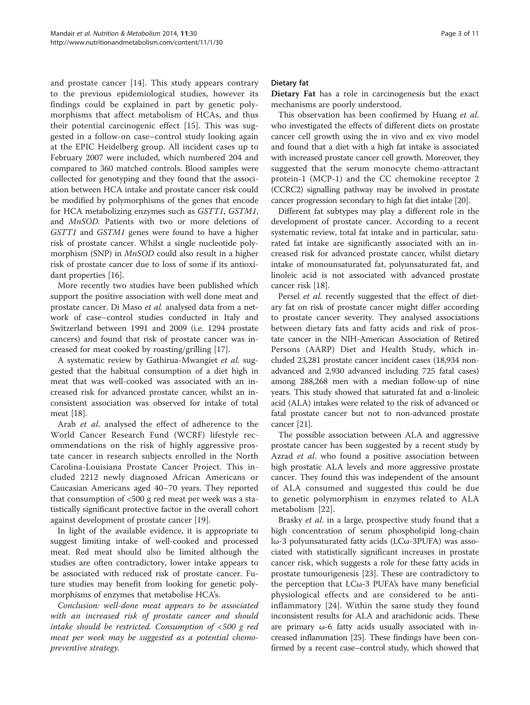and prostate cancer [[14\]](#page-8-0). This study appears contrary to the previous epidemiological studies, however its findings could be explained in part by genetic polymorphisms that affect metabolism of HCAs, and thus their potential carcinogenic effect [[15\]](#page-8-0). This was suggested in a follow-on case–control study looking again at the EPIC Heidelberg group. All incident cases up to February 2007 were included, which numbered 204 and compared to 360 matched controls. Blood samples were collected for genotyping and they found that the association between HCA intake and prostate cancer risk could be modified by polymorphisms of the genes that encode for HCA metabolizing enzymes such as GSTT1, GSTM1, and MnSOD. Patients with two or more deletions of GSTT1 and GSTM1 genes were found to have a higher risk of prostate cancer. Whilst a single nucleotide polymorphism (SNP) in *MnSOD* could also result in a higher risk of prostate cancer due to loss of some if its antioxidant properties [\[16](#page-8-0)].

More recently two studies have been published which support the positive association with well done meat and prostate cancer. Di Maso et al. analysed data from a network of case–control studies conducted in Italy and Switzerland between 1991 and 2009 (i.e. 1294 prostate cancers) and found that risk of prostate cancer was increased for meat cooked by roasting/grilling [[17](#page-8-0)].

A systematic review by Gathirua-Mwangiet et al. suggested that the habitual consumption of a diet high in meat that was well-cooked was associated with an increased risk for advanced prostate cancer, whilst an inconsistent association was observed for intake of total meat [[18\]](#page-8-0).

Arab et al. analysed the effect of adherence to the World Cancer Research Fund (WCRF) lifestyle recommendations on the risk of highly aggressive prostate cancer in research subjects enrolled in the North Carolina-Louisiana Prostate Cancer Project. This included 2212 newly diagnosed African Americans or Caucasian Americans aged 40–70 years. They reported that consumption of <500 g red meat per week was a statistically significant protective factor in the overall cohort against development of prostate cancer [[19](#page-9-0)].

In light of the available evidence, it is appropriate to suggest limiting intake of well-cooked and processed meat. Red meat should also be limited although the studies are often contradictory, lower intake appears to be associated with reduced risk of prostate cancer. Future studies may benefit from looking for genetic polymorphisms of enzymes that metabolise HCA's.

Conclusion: well-done meat appears to be associated with an increased risk of prostate cancer and should intake should be restricted. Consumption of <500 g red meat per week may be suggested as a potential chemopreventive strategy.

# Dietary fat

Dietary Fat has a role in carcinogenesis but the exact mechanisms are poorly understood.

This observation has been confirmed by Huang et al. who investigated the effects of different diets on prostate cancer cell growth using the in vivo and ex vivo model and found that a diet with a high fat intake is associated with increased prostate cancer cell growth. Moreover, they suggested that the serum monocyte chemo-attractant protein-1 (MCP-1) and the CC chemokine receptor 2 (CCRC2) signalling pathway may be involved in prostate cancer progression secondary to high fat diet intake [\[20\]](#page-9-0).

Different fat subtypes may play a different role in the development of prostate cancer. According to a recent systematic review, total fat intake and in particular, saturated fat intake are significantly associated with an increased risk for advanced prostate cancer, whilst dietary intake of monounsaturated fat, polyunsaturated fat, and linoleic acid is not associated with advanced prostate cancer risk [\[18](#page-8-0)].

Persel *et al.* recently suggested that the effect of dietary fat on risk of prostate cancer might differ according to prostate cancer severity. They analysed associations between dietary fats and fatty acids and risk of prostate cancer in the NIH-American Association of Retired Persons (AARP) Diet and Health Study, which included 23,281 prostate cancer incident cases (18,934 nonadvanced and 2,930 advanced including 725 fatal cases) among 288,268 men with a median follow-up of nine years. This study showed that saturated fat and α-linoleic acid (ALA) intakes were related to the risk of advanced or fatal prostate cancer but not to non-advanced prostate cancer [[21](#page-9-0)].

The possible association between ALA and aggressive prostate cancer has been suggested by a recent study by Azrad et al. who found a positive association between high prostatic ALA levels and more aggressive prostate cancer. They found this was independent of the amount of ALA consumed and suggested this could be due to genetic polymorphism in enzymes related to ALA metabolism [[22](#page-9-0)].

Brasky *et al.* in a large, prospective study found that a high concentration of serum phospholipid long-chain lω-3 polyunsaturated fatty acids (LCω-3PUFA) was associated with statistically significant increases in prostate cancer risk, which suggests a role for these fatty acids in prostate tumourigenesis [[23\]](#page-9-0). These are contradictory to the perception that LCω-3 PUFA's have many beneficial physiological effects and are considered to be antiinflammatory [[24\]](#page-9-0). Within the same study they found inconsistent results for ALA and arachidonic acids. These are primary ω-6 fatty acids usually associated with increased inflammation [\[25\]](#page-9-0). These findings have been confirmed by a recent case–control study, which showed that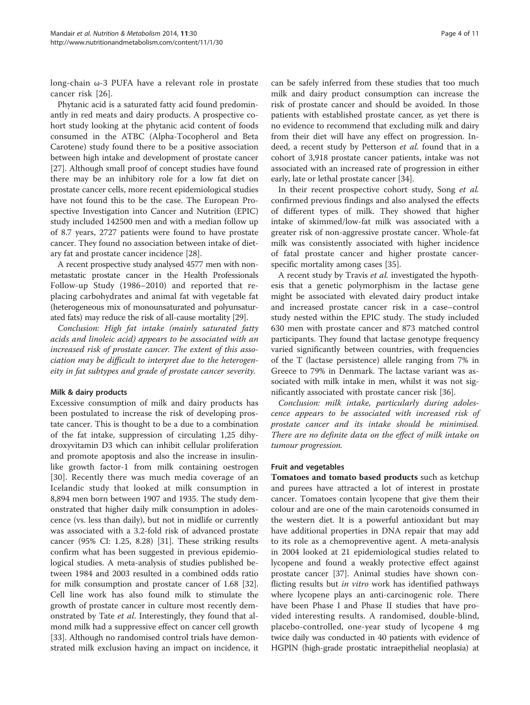long-chain ω-3 PUFA have a relevant role in prostate cancer risk [[26](#page-9-0)].

Phytanic acid is a saturated fatty acid found predominantly in red meats and dairy products. A prospective cohort study looking at the phytanic acid content of foods consumed in the ATBC (Alpha-Tocopherol and Beta Carotene) study found there to be a positive association between high intake and development of prostate cancer [[27\]](#page-9-0). Although small proof of concept studies have found there may be an inhibitory role for a low fat diet on prostate cancer cells, more recent epidemiological studies have not found this to be the case. The European Prospective Investigation into Cancer and Nutrition (EPIC) study included 142500 men and with a median follow up of 8.7 years, 2727 patients were found to have prostate cancer. They found no association between intake of dietary fat and prostate cancer incidence [[28\]](#page-9-0).

A recent prospective study analysed 4577 men with nonmetastatic prostate cancer in the Health Professionals Follow-up Study (1986–2010) and reported that replacing carbohydrates and animal fat with vegetable fat (heterogeneous mix of monounsaturated and polyunsaturated fats) may reduce the risk of all-cause mortality [\[29\]](#page-9-0).

Conclusion: High fat intake (mainly saturated fatty acids and linoleic acid) appears to be associated with an increased risk of prostate cancer. The extent of this association may be difficult to interpret due to the heterogeneity in fat subtypes and grade of prostate cancer severity.

#### Milk & dairy products

Excessive consumption of milk and dairy products has been postulated to increase the risk of developing prostate cancer. This is thought to be a due to a combination of the fat intake, suppression of circulating 1,25 dihydroxyvitamin D3 which can inhibit cellular proliferation and promote apoptosis and also the increase in insulinlike growth factor-1 from milk containing oestrogen [[30](#page-9-0)]. Recently there was much media coverage of an Icelandic study that looked at milk consumption in 8,894 men born between 1907 and 1935. The study demonstrated that higher daily milk consumption in adolescence (vs. less than daily), but not in midlife or currently was associated with a 3.2-fold risk of advanced prostate cancer (95% CI: 1.25, 8.28) [\[31\]](#page-9-0). These striking results confirm what has been suggested in previous epidemiological studies. A meta-analysis of studies published between 1984 and 2003 resulted in a combined odds ratio for milk consumption and prostate cancer of 1.68 [\[32](#page-9-0)]. Cell line work has also found milk to stimulate the growth of prostate cancer in culture most recently demonstrated by Tate *et al*. Interestingly, they found that almond milk had a suppressive effect on cancer cell growth [[33\]](#page-9-0). Although no randomised control trials have demonstrated milk exclusion having an impact on incidence, it

can be safely inferred from these studies that too much milk and dairy product consumption can increase the risk of prostate cancer and should be avoided. In those patients with established prostate cancer, as yet there is no evidence to recommend that excluding milk and dairy from their diet will have any effect on progression. Indeed, a recent study by Petterson *et al.* found that in a cohort of 3,918 prostate cancer patients, intake was not associated with an increased rate of progression in either early, late or lethal prostate cancer [\[34](#page-9-0)].

In their recent prospective cohort study, Song et al. confirmed previous findings and also analysed the effects of different types of milk. They showed that higher intake of skimmed/low-fat milk was associated with a greater risk of non-aggressive prostate cancer. Whole-fat milk was consistently associated with higher incidence of fatal prostate cancer and higher prostate cancerspecific mortality among cases [[35\]](#page-9-0).

A recent study by Travis et al. investigated the hypothesis that a genetic polymorphism in the lactase gene might be associated with elevated dairy product intake and increased prostate cancer risk in a case–control study nested within the EPIC study. The study included 630 men with prostate cancer and 873 matched control participants. They found that lactase genotype frequency varied significantly between countries, with frequencies of the T (lactase persistence) allele ranging from 7% in Greece to 79% in Denmark. The lactase variant was associated with milk intake in men, whilst it was not significantly associated with prostate cancer risk [\[36\]](#page-9-0).

Conclusion: milk intake, particularly during adolescence appears to be associated with increased risk of prostate cancer and its intake should be minimised. There are no definite data on the effect of milk intake on tumour progression.

#### Fruit and vegetables

Tomatoes and tomato based products such as ketchup and purees have attracted a lot of interest in prostate cancer. Tomatoes contain lycopene that give them their colour and are one of the main carotenoids consumed in the western diet. It is a powerful antioxidant but may have additional properties in DNA repair that may add to its role as a chemopreventive agent. A meta-analysis in 2004 looked at 21 epidemiological studies related to lycopene and found a weakly protective effect against prostate cancer [\[37](#page-9-0)]. Animal studies have shown conflicting results but *in vitro* work has identified pathways where lycopene plays an anti-carcinogenic role. There have been Phase I and Phase II studies that have provided interesting results. A randomised, double-blind, placebo-controlled, one-year study of lycopene 4 mg twice daily was conducted in 40 patients with evidence of HGPIN (high-grade prostatic intraepithelial neoplasia) at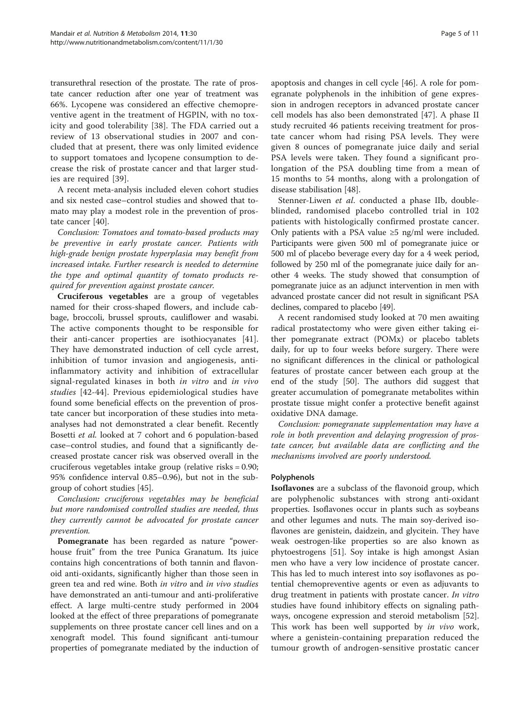transurethral resection of the prostate. The rate of prostate cancer reduction after one year of treatment was 66%. Lycopene was considered an effective chemopreventive agent in the treatment of HGPIN, with no toxicity and good tolerability [\[38](#page-9-0)]. The FDA carried out a review of 13 observational studies in 2007 and concluded that at present, there was only limited evidence to support tomatoes and lycopene consumption to decrease the risk of prostate cancer and that larger studies are required [\[39](#page-9-0)].

A recent meta-analysis included eleven cohort studies and six nested case–control studies and showed that tomato may play a modest role in the prevention of prostate cancer [[40](#page-9-0)].

Conclusion: Tomatoes and tomato-based products may be preventive in early prostate cancer. Patients with high-grade benign prostate hyperplasia may benefit from increased intake. Further research is needed to determine the type and optimal quantity of tomato products required for prevention against prostate cancer.

Cruciferous vegetables are a group of vegetables named for their cross-shaped flowers, and include cabbage, broccoli, brussel sprouts, cauliflower and wasabi. The active components thought to be responsible for their anti-cancer properties are isothiocyanates [\[41](#page-9-0)]. They have demonstrated induction of cell cycle arrest, inhibition of tumor invasion and angiogenesis, antiinflammatory activity and inhibition of extracellular signal-regulated kinases in both in vitro and in vivo studies [\[42](#page-9-0)-[44](#page-9-0)]. Previous epidemiological studies have found some beneficial effects on the prevention of prostate cancer but incorporation of these studies into metaanalyses had not demonstrated a clear benefit. Recently Bosetti et al. looked at 7 cohort and 6 population-based case–control studies, and found that a significantly decreased prostate cancer risk was observed overall in the cruciferous vegetables intake group (relative risks = 0.90; 95% confidence interval 0.85–0.96), but not in the subgroup of cohort studies [\[45](#page-9-0)].

Conclusion: cruciferous vegetables may be beneficial but more randomised controlled studies are needed, thus they currently cannot be advocated for prostate cancer prevention.

Pomegranate has been regarded as nature "powerhouse fruit" from the tree Punica Granatum. Its juice contains high concentrations of both tannin and flavonoid anti-oxidants, significantly higher than those seen in green tea and red wine. Both in vitro and in vivo studies have demonstrated an anti-tumour and anti-proliferative effect. A large multi-centre study performed in 2004 looked at the effect of three preparations of pomegranate supplements on three prostate cancer cell lines and on a xenograft model. This found significant anti-tumour properties of pomegranate mediated by the induction of

apoptosis and changes in cell cycle [[46](#page-9-0)]. A role for pomegranate polyphenols in the inhibition of gene expression in androgen receptors in advanced prostate cancer cell models has also been demonstrated [\[47](#page-9-0)]. A phase II study recruited 46 patients receiving treatment for prostate cancer whom had rising PSA levels. They were given 8 ounces of pomegranate juice daily and serial PSA levels were taken. They found a significant prolongation of the PSA doubling time from a mean of 15 months to 54 months, along with a prolongation of disease stabilisation [\[48\]](#page-9-0).

Stenner-Liwen et al. conducted a phase IIb, doubleblinded, randomised placebo controlled trial in 102 patients with histologically confirmed prostate cancer. Only patients with a PSA value ≥5 ng/ml were included. Participants were given 500 ml of pomegranate juice or 500 ml of placebo beverage every day for a 4 week period, followed by 250 ml of the pomegranate juice daily for another 4 weeks. The study showed that consumption of pomegranate juice as an adjunct intervention in men with advanced prostate cancer did not result in significant PSA declines, compared to placebo [[49](#page-9-0)].

A recent randomised study looked at 70 men awaiting radical prostatectomy who were given either taking either pomegranate extract (POMx) or placebo tablets daily, for up to four weeks before surgery. There were no significant differences in the clinical or pathological features of prostate cancer between each group at the end of the study [[50\]](#page-9-0). The authors did suggest that greater accumulation of pomegranate metabolites within prostate tissue might confer a protective benefit against oxidative DNA damage.

Conclusion: pomegranate supplementation may have a role in both prevention and delaying progression of prostate cancer, but available data are conflicting and the mechanisms involved are poorly understood.

# Polyphenols

Isoflavones are a subclass of the flavonoid group, which are polyphenolic substances with strong anti-oxidant properties. Isoflavones occur in plants such as soybeans and other legumes and nuts. The main soy-derived isoflavones are genistein, daidzein, and glycitein. They have weak oestrogen-like properties so are also known as phytoestrogens [\[51\]](#page-9-0). Soy intake is high amongst Asian men who have a very low incidence of prostate cancer. This has led to much interest into soy isoflavones as potential chemopreventive agents or even as adjuvants to drug treatment in patients with prostate cancer. In vitro studies have found inhibitory effects on signaling pathways, oncogene expression and steroid metabolism [\[52](#page-9-0)]. This work has been well supported by *in vivo* work, where a genistein-containing preparation reduced the tumour growth of androgen-sensitive prostatic cancer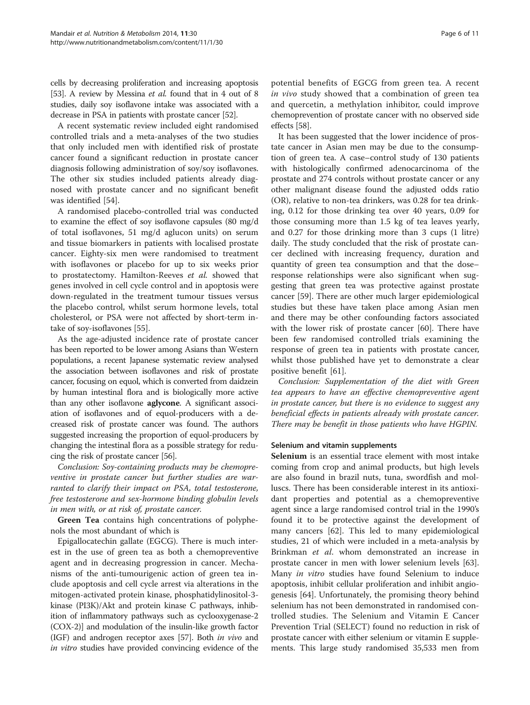cells by decreasing proliferation and increasing apoptosis [[53](#page-9-0)]. A review by Messina et al. found that in 4 out of 8 studies, daily soy isoflavone intake was associated with a decrease in PSA in patients with prostate cancer [[52](#page-9-0)].

A recent systematic review included eight randomised controlled trials and a meta-analyses of the two studies that only included men with identified risk of prostate cancer found a significant reduction in prostate cancer diagnosis following administration of soy/soy isoflavones. The other six studies included patients already diagnosed with prostate cancer and no significant benefit was identified [\[54](#page-9-0)].

A randomised placebo-controlled trial was conducted to examine the effect of soy isoflavone capsules (80 mg/d of total isoflavones, 51 mg/d aglucon units) on serum and tissue biomarkers in patients with localised prostate cancer. Eighty-six men were randomised to treatment with isoflavones or placebo for up to six weeks prior to prostatectomy. Hamilton-Reeves et al. showed that genes involved in cell cycle control and in apoptosis were down-regulated in the treatment tumour tissues versus the placebo control, whilst serum hormone levels, total cholesterol, or PSA were not affected by short-term intake of soy-isoflavones [[55\]](#page-9-0).

As the age-adjusted incidence rate of prostate cancer has been reported to be lower among Asians than Western populations, a recent Japanese systematic review analysed the association between isoflavones and risk of prostate cancer, focusing on equol, which is converted from daidzein by human intestinal flora and is biologically more active than any other isoflavone aglycone. A significant association of isoflavones and of equol-producers with a decreased risk of prostate cancer was found. The authors suggested increasing the proportion of equol-producers by changing the intestinal flora as a possible strategy for reducing the risk of prostate cancer [\[56\]](#page-10-0).

Conclusion: Soy-containing products may be chemopreventive in prostate cancer but further studies are warranted to clarify their impact on PSA, total testosterone, free testosterone and sex-hormone binding globulin levels in men with, or at risk of, prostate cancer.

Green Tea contains high concentrations of polyphenols the most abundant of which is

Epigallocatechin gallate (EGCG). There is much interest in the use of green tea as both a chemopreventive agent and in decreasing progression in cancer. Mechanisms of the anti-tumourigenic action of green tea include apoptosis and cell cycle arrest via alterations in the mitogen-activated protein kinase, phosphatidylinositol-3 kinase (PI3K)/Akt and protein kinase C pathways, inhibition of inflammatory pathways such as cyclooxygenase-2 (COX-2)] and modulation of the insulin-like growth factor (IGF) and androgen receptor axes [[57](#page-10-0)]. Both in vivo and in vitro studies have provided convincing evidence of the

potential benefits of EGCG from green tea. A recent in vivo study showed that a combination of green tea and quercetin, a methylation inhibitor, could improve chemoprevention of prostate cancer with no observed side effects [\[58\]](#page-10-0).

It has been suggested that the lower incidence of prostate cancer in Asian men may be due to the consumption of green tea. A case–control study of 130 patients with histologically confirmed adenocarcinoma of the prostate and 274 controls without prostate cancer or any other malignant disease found the adjusted odds ratio (OR), relative to non-tea drinkers, was 0.28 for tea drinking, 0.12 for those drinking tea over 40 years, 0.09 for those consuming more than 1.5 kg of tea leaves yearly, and 0.27 for those drinking more than 3 cups (1 litre) daily. The study concluded that the risk of prostate cancer declined with increasing frequency, duration and quantity of green tea consumption and that the dose– response relationships were also significant when suggesting that green tea was protective against prostate cancer [\[59](#page-10-0)]. There are other much larger epidemiological studies but these have taken place among Asian men and there may be other confounding factors associated with the lower risk of prostate cancer [\[60](#page-10-0)]. There have been few randomised controlled trials examining the response of green tea in patients with prostate cancer, whilst those published have yet to demonstrate a clear positive benefit [\[61\]](#page-10-0).

Conclusion: Supplementation of the diet with Green tea appears to have an effective chemopreventive agent in prostate cancer, but there is no evidence to suggest any beneficial effects in patients already with prostate cancer. There may be benefit in those patients who have HGPIN.

#### Selenium and vitamin supplements

Selenium is an essential trace element with most intake coming from crop and animal products, but high levels are also found in brazil nuts, tuna, swordfish and molluscs. There has been considerable interest in its antioxidant properties and potential as a chemopreventive agent since a large randomised control trial in the 1990's found it to be protective against the development of many cancers [[62](#page-10-0)]. This led to many epidemiological studies, 21 of which were included in a meta-analysis by Brinkman et al. whom demonstrated an increase in prostate cancer in men with lower selenium levels [\[63](#page-10-0)]. Many in vitro studies have found Selenium to induce apoptosis, inhibit cellular proliferation and inhibit angiogenesis [\[64\]](#page-10-0). Unfortunately, the promising theory behind selenium has not been demonstrated in randomised controlled studies. The Selenium and Vitamin E Cancer Prevention Trial (SELECT) found no reduction in risk of prostate cancer with either selenium or vitamin E supplements. This large study randomised 35,533 men from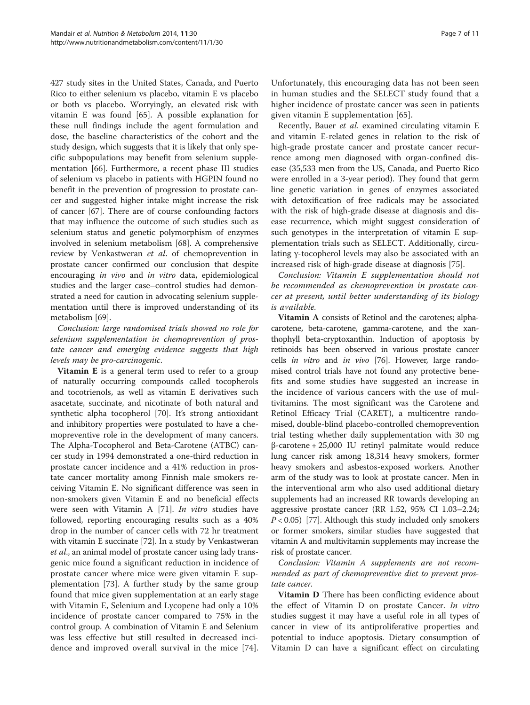427 study sites in the United States, Canada, and Puerto Rico to either selenium vs placebo, vitamin E vs placebo or both vs placebo. Worryingly, an elevated risk with vitamin E was found [\[65\]](#page-10-0). A possible explanation for these null findings include the agent formulation and dose, the baseline characteristics of the cohort and the study design, which suggests that it is likely that only specific subpopulations may benefit from selenium supplementation [[66](#page-10-0)]. Furthermore, a recent phase III studies of selenium vs placebo in patients with HGPIN found no benefit in the prevention of progression to prostate cancer and suggested higher intake might increase the risk of cancer [\[67\]](#page-10-0). There are of course confounding factors that may influence the outcome of such studies such as selenium status and genetic polymorphism of enzymes involved in selenium metabolism [\[68\]](#page-10-0). A comprehensive review by Venkastweran et al. of chemoprevention in prostate cancer confirmed our conclusion that despite encouraging in vivo and in vitro data, epidemiological studies and the larger case–control studies had demonstrated a need for caution in advocating selenium supplementation until there is improved understanding of its metabolism [[69\]](#page-10-0).

Conclusion: large randomised trials showed no role for selenium supplementation in chemoprevention of prostate cancer and emerging evidence suggests that high levels may be pro-carcinogenic.

Vitamin E is a general term used to refer to a group of naturally occurring compounds called tocopherols and tocotrienols, as well as vitamin E derivatives such asacetate, succinate, and nicotinate of both natural and synthetic alpha tocopherol [\[70\]](#page-10-0). It's strong antioxidant and inhibitory properties were postulated to have a chemopreventive role in the development of many cancers. The Alpha-Tocopherol and Beta-Carotene (ATBC) cancer study in 1994 demonstrated a one-third reduction in prostate cancer incidence and a 41% reduction in prostate cancer mortality among Finnish male smokers receiving Vitamin E. No significant difference was seen in non-smokers given Vitamin E and no beneficial effects were seen with Vitamin A [[71](#page-10-0)]. In vitro studies have followed, reporting encouraging results such as a 40% drop in the number of cancer cells with 72 hr treatment with vitamin E succinate [\[72\]](#page-10-0). In a study by Venkastweran et al., an animal model of prostate cancer using lady transgenic mice found a significant reduction in incidence of prostate cancer where mice were given vitamin E supplementation [\[73](#page-10-0)]. A further study by the same group found that mice given supplementation at an early stage with Vitamin E, Selenium and Lycopene had only a 10% incidence of prostate cancer compared to 75% in the control group. A combination of Vitamin E and Selenium was less effective but still resulted in decreased incidence and improved overall survival in the mice [\[74](#page-10-0)].

Unfortunately, this encouraging data has not been seen in human studies and the SELECT study found that a higher incidence of prostate cancer was seen in patients given vitamin E supplementation [\[65](#page-10-0)].

Recently, Bauer et al. examined circulating vitamin E and vitamin E-related genes in relation to the risk of high-grade prostate cancer and prostate cancer recurrence among men diagnosed with organ-confined disease (35,533 men from the US, Canada, and Puerto Rico were enrolled in a 3-year period). They found that germ line genetic variation in genes of enzymes associated with detoxification of free radicals may be associated with the risk of high-grade disease at diagnosis and disease recurrence, which might suggest consideration of such genotypes in the interpretation of vitamin E supplementation trials such as SELECT. Additionally, circulating γ-tocopherol levels may also be associated with an increased risk of high-grade disease at diagnosis [[75](#page-10-0)].

Conclusion: Vitamin E supplementation should not be recommended as chemoprevention in prostate cancer at present, until better understanding of its biology is available.

Vitamin A consists of Retinol and the carotenes; alphacarotene, beta-carotene, gamma-carotene, and the xanthophyll beta-cryptoxanthin. Induction of apoptosis by retinoids has been observed in various prostate cancer cells in vitro and in vivo [[76](#page-10-0)]. However, large randomised control trials have not found any protective benefits and some studies have suggested an increase in the incidence of various cancers with the use of multivitamins. The most significant was the Carotene and Retinol Efficacy Trial (CARET), a multicentre randomised, double-blind placebo-controlled chemoprevention trial testing whether daily supplementation with 30 mg β-carotene + 25,000 IU retinyl palmitate would reduce lung cancer risk among 18,314 heavy smokers, former heavy smokers and asbestos-exposed workers. Another arm of the study was to look at prostate cancer. Men in the interventional arm who also used additional dietary supplements had an increased RR towards developing an aggressive prostate cancer (RR 1.52, 95% CI 1.03–2.24;  $P < 0.05$ ) [[77\]](#page-10-0). Although this study included only smokers or former smokers, similar studies have suggested that vitamin A and multivitamin supplements may increase the risk of prostate cancer.

Conclusion: Vitamin A supplements are not recommended as part of chemopreventive diet to prevent prostate cancer.

Vitamin D There has been conflicting evidence about the effect of Vitamin D on prostate Cancer. In vitro studies suggest it may have a useful role in all types of cancer in view of its antiproliferative properties and potential to induce apoptosis. Dietary consumption of Vitamin D can have a significant effect on circulating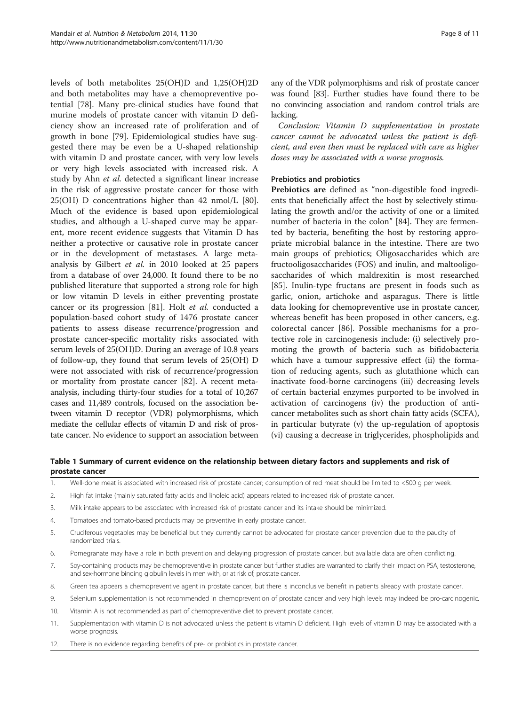<span id="page-7-0"></span>levels of both metabolites 25(OH)D and 1,25(OH)2D and both metabolites may have a chemopreventive potential [\[78](#page-10-0)]. Many pre-clinical studies have found that murine models of prostate cancer with vitamin D deficiency show an increased rate of proliferation and of growth in bone [\[79](#page-10-0)]. Epidemiological studies have suggested there may be even be a U-shaped relationship with vitamin D and prostate cancer, with very low levels or very high levels associated with increased risk. A study by Ahn et al. detected a significant linear increase in the risk of aggressive prostate cancer for those with 25(OH) D concentrations higher than 42 nmol/L [\[80](#page-10-0)]. Much of the evidence is based upon epidemiological studies, and although a U-shaped curve may be apparent, more recent evidence suggests that Vitamin D has neither a protective or causative role in prostate cancer or in the development of metastases. A large metaanalysis by Gilbert et al. in 2010 looked at 25 papers from a database of over 24,000. It found there to be no published literature that supported a strong role for high or low vitamin D levels in either preventing prostate cancer or its progression [\[81](#page-10-0)]. Holt et al. conducted a population-based cohort study of 1476 prostate cancer patients to assess disease recurrence/progression and prostate cancer-specific mortality risks associated with serum levels of 25(OH)D. During an average of 10.8 years of follow-up, they found that serum levels of 25(OH) D were not associated with risk of recurrence/progression or mortality from prostate cancer [[82](#page-10-0)]. A recent metaanalysis, including thirty-four studies for a total of 10,267 cases and 11,489 controls, focused on the association between vitamin D receptor (VDR) polymorphisms, which mediate the cellular effects of vitamin D and risk of prostate cancer. No evidence to support an association between

any of the VDR polymorphisms and risk of prostate cancer was found [\[83\]](#page-10-0). Further studies have found there to be no convincing association and random control trials are lacking.

Conclusion: Vitamin D supplementation in prostate cancer cannot be advocated unless the patient is deficient, and even then must be replaced with care as higher doses may be associated with a worse prognosis.

#### Prebiotics and probiotics

Prebiotics are defined as "non-digestible food ingredients that beneficially affect the host by selectively stimulating the growth and/or the activity of one or a limited number of bacteria in the colon" [[84\]](#page-10-0). They are fermented by bacteria, benefiting the host by restoring appropriate microbial balance in the intestine. There are two main groups of prebiotics; Oligosaccharides which are fructooligosaccharides (FOS) and inulin, and maltooligosaccharides of which maldrexitin is most researched [[85\]](#page-10-0). Inulin-type fructans are present in foods such as garlic, onion, artichoke and asparagus. There is little data looking for chemopreventive use in prostate cancer, whereas benefit has been proposed in other cancers, e.g. colorectal cancer [[86](#page-10-0)]. Possible mechanisms for a protective role in carcinogenesis include: (i) selectively promoting the growth of bacteria such as bifidobacteria which have a tumour suppressive effect (ii) the formation of reducing agents, such as glutathione which can inactivate food-borne carcinogens (iii) decreasing levels of certain bacterial enzymes purported to be involved in activation of carcinogens (iv) the production of anticancer metabolites such as short chain fatty acids (SCFA), in particular butyrate (v) the up-regulation of apoptosis (vi) causing a decrease in triglycerides, phospholipids and

Table 1 Summary of current evidence on the relationship between dietary factors and supplements and risk of prostate cancer

|  | Well-done meat is associated with increased risk of prostate cancer; consumption of red meat should be limited to <500 g per week. |  |  |  |  |
|--|------------------------------------------------------------------------------------------------------------------------------------|--|--|--|--|
|--|------------------------------------------------------------------------------------------------------------------------------------|--|--|--|--|

- 2. High fat intake (mainly saturated fatty acids and linoleic acid) appears related to increased risk of prostate cancer.
- 3. Milk intake appears to be associated with increased risk of prostate cancer and its intake should be minimized.
- 4. Tomatoes and tomato-based products may be preventive in early prostate cancer.
- 5. Cruciferous vegetables may be beneficial but they currently cannot be advocated for prostate cancer prevention due to the paucity of randomized trials.
- 6. Pomegranate may have a role in both prevention and delaying progression of prostate cancer, but available data are often conflicting.
- 7. Soy-containing products may be chemopreventive in prostate cancer but further studies are warranted to clarify their impact on PSA, testosterone, and sex-hormone binding globulin levels in men with, or at risk of, prostate cancer.
- 8. Green tea appears a chemopreventive agent in prostate cancer, but there is inconclusive benefit in patients already with prostate cancer.
- 9. Selenium supplementation is not recommended in chemoprevention of prostate cancer and very high levels may indeed be pro-carcinogenic.
- 10. Vitamin A is not recommended as part of chemopreventive diet to prevent prostate cancer.
- 11. Supplementation with vitamin D is not advocated unless the patient is vitamin D deficient. High levels of vitamin D may be associated with a worse prognosis.
- 12. There is no evidence regarding benefits of pre- or probiotics in prostate cancer.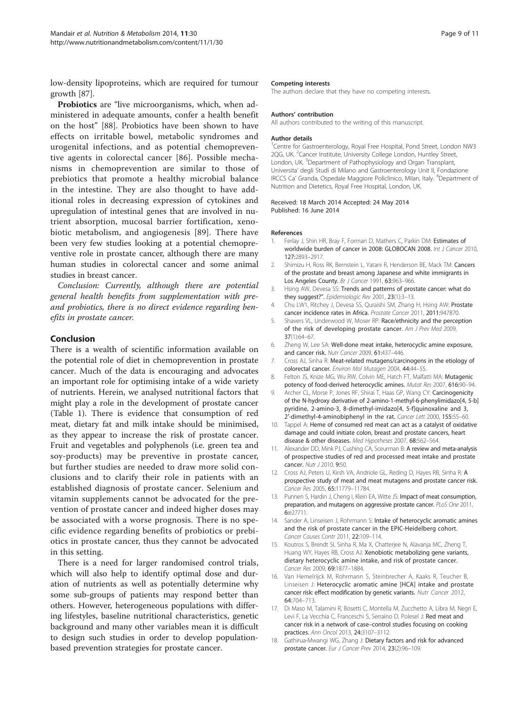<span id="page-8-0"></span>low-density lipoproteins, which are required for tumour growth [\[87](#page-10-0)].

Probiotics are "live microorganisms, which, when administered in adequate amounts, confer a health benefit on the host" [\[88](#page-10-0)]. Probiotics have been shown to have effects on irritable bowel, metabolic syndromes and urogenital infections, and as potential chemopreventive agents in colorectal cancer [[86](#page-10-0)]. Possible mechanisms in chemoprevention are similar to those of prebiotics that promote a healthy microbial balance in the intestine. They are also thought to have additional roles in decreasing expression of cytokines and upregulation of intestinal genes that are involved in nutrient absorption, mucosal barrier fortification, xenobiotic metabolism, and angiogenesis [[89\]](#page-10-0). There have been very few studies looking at a potential chemopreventive role in prostate cancer, although there are many human studies in colorectal cancer and some animal studies in breast cancer.

Conclusion: Currently, although there are potential general health benefits from supplementation with preand probiotics, there is no direct evidence regarding benefits in prostate cancer.

#### Conclusion

There is a wealth of scientific information available on the potential role of diet in chemoprevention in prostate cancer. Much of the data is encouraging and advocates an important role for optimising intake of a wide variety of nutrients. Herein, we analysed nutritional factors that might play a role in the development of prostate cancer (Table [1](#page-7-0)). There is evidence that consumption of red meat, dietary fat and milk intake should be minimised, as they appear to increase the risk of prostate cancer. Fruit and vegetables and polyphenols (i.e. green tea and soy-products) may be preventive in prostate cancer, but further studies are needed to draw more solid conclusions and to clarify their role in patients with an established diagnosis of prostate cancer. Selenium and vitamin supplements cannot be advocated for the prevention of prostate cancer and indeed higher doses may be associated with a worse prognosis. There is no specific evidence regarding benefits of probiotics or prebiotics in prostate cancer, thus they cannot be advocated in this setting.

There is a need for larger randomised control trials, which will also help to identify optimal dose and duration of nutrients as well as potentially determine why some sub-groups of patients may respond better than others. However, heterogeneous populations with differing lifestyles, baseline nutritional characteristics, genetic background and many other variables mean it is difficult to design such studies in order to develop populationbased prevention strategies for prostate cancer.

#### Competing interests

The authors declare that they have no competing interests.

#### Authors' contribution

All authors contributed to the writing of this manuscript.

#### Author details

<sup>1</sup>Centre for Gastroenterology, Royal Free Hospital, Pond Street, London NW3 2QG, UK. <sup>2</sup>Cancer Institute, University College London, Huntley Street, London, UK.<sup>3</sup> Department of Pathophysiology and Organ Transplant, Universita' degli Studi di Milano and Gastroenterology Unit II, Fondazione IRCCS Ca' Granda, Ospedale Maggiore Policlinico, Milan, Italy. <sup>4</sup>Department of Nutrition and Dietetics, Royal Free Hospital, London, UK.

#### Received: 18 March 2014 Accepted: 24 May 2014 Published: 16 June 2014

#### References

- 1. Ferlay J, Shin HR, Bray F, Forman D, Mathers C, Parkin DM: Estimates of worldwide burden of cancer in 2008: GLOBOCAN 2008. Int J Cancer 2010, 127:2893–2917.
- 2. Shimizu H, Ross RK, Bernstein L, Yatani R, Henderson BE, Mack TM: Cancers of the prostate and breast among Japanese and white immigrants in Los Angeles County. Br J Cancer 1991, 63:963-966.
- 3. Hsing AW, Devesa SS: Trends and patterns of prostate cancer: what do they suggest?". Epidemiologic Rev 2001, 23(1):3-13.
- 4. Chu LW1, Ritchey J, Devesa SS, Quraishi SM, Zhang H, Hsing AW: Prostate cancer incidence rates in Africa. Prostate Cancer 2011, 2011:947870.
- 5. Shavers VL, Underwood W, Moser RP: Race/ethnicity and the perception of the risk of developing prostate cancer. Am J Prev Med 2009, 37(1):64–67.
- 6. Zheng W, Lee SA: Well-done meat intake, heterocyclic amine exposure, and cancer risk. Nutr Cancer 2009, 61:437–446.
- 7. Cross AJ, Sinha R: Meat-related mutagens/carcinogens in the etiology of colorectal cancer. Environ Mol Mutagen 2004, 44:44–55.
- 8. Felton JS, Knize MG, Wu RW, Colvin MF, Hatch FT, Malfatti MA: Mutagenic potency of food-derived heterocyclic amines. Mutat Res 2007, 616:90–94.
- 9. Archer CL, Morse P, Jones RF, Shirai T, Haas GP, Wang CY: Carcinogenicity of the N-hydroxy derivative of 2-amino-1-methyl-6-phenylimidazo[4, 5-b] pyridine, 2-amino-3, 8-dimethyl-imidazo[4, 5-f]quinoxaline and 3, 2′-dimethyl-4-aminobiphenyl in the rat. Cancer Lett 2000, 155:55–60.
- 10. Tappel A: Heme of consumed red meat can act as a catalyst of oxidative damage and could initiate colon, breast and prostate cancers, heart disease & other diseases. Med Hypotheses 2007, 68:562–564.
- 11. Alexander DD, Mink PJ, Cushing CA, Sceurman B: A review and meta-analysis of prospective studies of red and processed meat intake and prostate cancer. Nutr J 2010, 9:50.
- 12. Cross AJ, Peters U, Kirsh VA, Andriole GL, Reding D, Hayes RB, Sinha R: A prospective study of meat and meat mutagens and prostate cancer risk. Cancer Res 2005, 65:11779–11784.
- 13. Punnen S, Hardin J, Cheng I, Klein EA, Witte JS: Impact of meat consumption, preparation, and mutagens on aggressive prostate cancer. PLoS One 2011, 6:e27711.
- 14. Sander A, Linseisen J, Rohrmann S: Intake of heterocyclic aromatic amines and the risk of prostate cancer in the EPIC-Heidelberg cohort. Cancer Causes Contr 2011, 22:109–114.
- 15. Koutros S, Brendt SI, Sinha R, Ma X, Chatterjee N, Alavanja MC, Zheng T, Huang WY, Hayes RB, Cross AJ: Xenobiotic metabolizing gene variants, dietary heterocyclic amine intake, and risk of prostate cancer. Cancer Res 2009, 69:1877–1884.
- 16. Van Hemelrijck M, Rohrmann S, Steinbrecher A, Kaaks R, Teucher B, Linseisen J: Heterocyclic aromatic amine [HCA] intake and prostate cancer risk: effect modification by genetic variants. Nutr Cancer 2012, 64:704–713.
- 17. Di Maso M, Talamini R, Bosetti C, Montella M, Zucchetto A, Libra M, Negri E, Levi F, La Vecchia C, Franceschi S, Serraino D, Polesel J: Red meat and cancer risk in a network of case–control studies focusing on cooking practices. Ann Oncol 2013, 24:3107–3112.
- 18. Gathirua-Mwangi WG, Zhang J: Dietary factors and risk for advanced prostate cancer. Eur J Cancer Prev 2014, 23(2):96–109.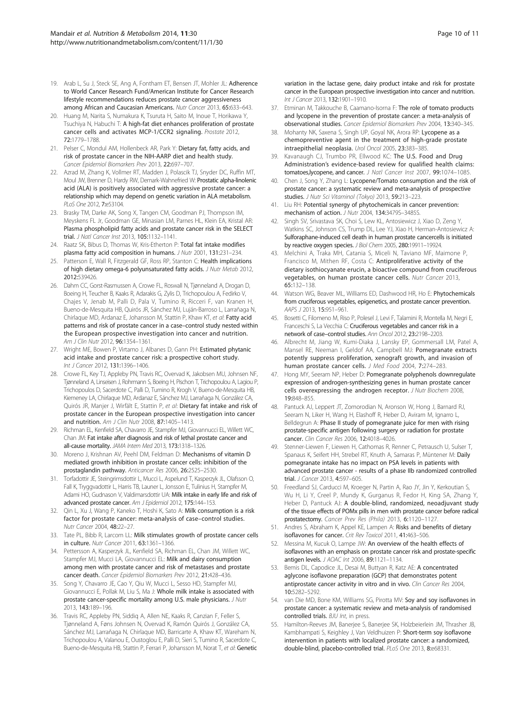- <span id="page-9-0"></span>19. Arab L, Su J, Steck SE, Ang A, Fontham ET, Bensen JT, Mohler JL: Adherence to World Cancer Research Fund/American Institute for Cancer Research lifestyle recommendations reduces prostate cancer aggressiveness among African and Caucasian Americans. Nutr Cancer 2013, 65:633–643.
- 20. Huang M, Narita S, Numakura K, Tsuruta H, Saito M, Inoue T, Horikawa Y, Tsuchiya N, Habuchi T: A high-fat diet enhances proliferation of prostate cancer cells and activates MCP-1/CCR2 signaling. Prostate 2012, 72:1779–1788.
- 21. Pelser C, Mondul AM, Hollenbeck AR, Park Y: Dietary fat, fatty acids, and risk of prostate cancer in the NIH-AARP diet and health study. Cancer Epidemiol Biomarkers Prev 2013, 22:697–707.
- 22. Azrad M, Zhang K, Vollmer RT, Madden J, Polascik TJ, Snyder DC, Ruffin MT, Moul JW, Brenner D, Hardy RW, Demark-Wahnefried W: Prostatic alpha-linolenic acid (ALA) is positively associated with aggressive prostate cancer: a relationship which may depend on genetic variation in ALA metabolism. PLoS One 2012, 7:e53104
- 23. Brasky TM, Darke AK, Song X, Tangen CM, Goodman PJ, Thompson IM, Meyskens FL Jr, Goodman GE, Minasian LM, Parnes HL, Klein EA, Kristal AR: Plasma phospholipid fatty acids and prostate cancer risk in the SELECT trial. J Natl Cancer Inst 2013, 105:1132–1141.
- 24. Raatz SK, Bibus D, Thomas W, Kris-Etherton P: Total fat intake modifies plasma fatty acid composition in humans. J Nutr 2001, 131:231–234.
- 25. Patterson E, Wall R, Fitzgerald GF, Ross RP, Stanton C: Health implications of high dietary omega-6 polyunsaturated fatty acids. J Nutr Metab 2012, 2012:539426.
- 26. Dahm CC, Gorst-Rasmussen A, Crowe FL, Roswall N, Tjønneland A, Drogan D, Boeing H, Teucher B, Kaaks R, Adarakis G, Zylis D, Trichopoulou A, Fedirko V, Chajes V, Jenab M, Palli D, Pala V, Tumino R, Ricceri F, van Kranen H, Bueno-de-Mesquita HB, Quirós JR, Sánchez MJ, Luján-Barroso L, Larrañaga N, Chirlaque MD, Ardanaz E, Johansson M, Stattin P, Khaw KT, et al: Fatty acid patterns and risk of prostate cancer in a case–control study nested within the European prospective investigation into cancer and nutrition. Am J Clin Nutr 2012, 96:1354–1361.
- 27. Wright ME, Bowen P, Virtamo J, Albanes D, Gann PH: Estimated phytanic acid intake and prostate cancer risk: a prospective cohort study. Int J Cancer 2012, 131:1396–1406.
- 28. Crowe FL, Key TJ, Appleby PN, Travis RC, Overvad K, Jakobsen MU, Johnsen NF, Tjønneland A, Linseisen J, Rohrmann S, Boeing H, Pischon T, Trichopoulou A, Lagiou P, Trichopoulos D, Sacerdote C, Palli D, Tumino R, Krogh V, Bueno-de-Mesquita HB, Kiemeney LA, Chirlaque MD, Ardanaz E, Sánchez MJ, Larrañaga N, González CA, Quirós JR, Manjer J, Wirfält E, Stattin P, et al: Dietary fat intake and risk of prostate cancer in the European prospective investigation into cancer and nutrition. Am J Clin Nutr 2008, 87:1405–1413.
- 29. Richman EL, Kenfield SA, Chavarro JE, Stampfer MJ, Giovannucci EL, Willett WC, Chan JM: Fat intake after diagnosis and risk of lethal prostate cancer and all-cause mortality. JAMA Intern Med 2013, 173:1318–1326.
- 30. Moreno J, Krishnan AV, Peehl DM, Feldman D: Mechanisms of vitamin D mediated growth inhibition in prostate cancer cells: inhibition of the prostaglandin pathway. Anticancer Res 2006, 26:2525–2530.
- 31. Torfadottir JE, Steingrimsdottir L, Mucci L, Aspelund T, Kasperzyk JL, Olafsson O, Fall K, Tryggvadottir L, Harris TB, Launer L, Jonsson E, Tulinius H, Stampfer M, Adami HO, Gudnason V, Valdimarsdottir UA: Milk intake in early life and risk of advanced prostate cancer. Am J Epidemiol 2012, 175:144-153.
- 32. Qin L, Xu J, Wang P, Kaneko T, Hoshi K, Sato A: Milk consumption is a risk factor for prostate cancer: meta-analysis of case–control studies. Nutr Cancer 2004, 48:22–27.
- 33. Tate PL, Bibb R, Larcom LL: Milk stimulates growth of prostate cancer cells in culture. Nutr Cancer 2011, 63:1361–1366.
- 34. Pettersson A, Kasperzyk JL, Kenfield SA, Richman EL, Chan JM, Willett WC, Stampfer MJ, Mucci LA, Giovannucci EL: Milk and dairy consumption among men with prostate cancer and risk of metastases and prostate cancer death. Cancer Epidemiol Biomarkers Prev 2012, 21:428–436.
- 35. Song Y, Chavarro JE, Cao Y, Qiu W, Mucci L, Sesso HD, Stampfer MJ, Giovannucci E, Pollak M, Liu S, Ma J: Whole milk intake is associated with prostate cancer-specific mortality among U.S. male physicians. J Nutr 2013, 143:189–196.
- 36. Travis RC, Appleby PN, Siddiq A, Allen NE, Kaaks R, Canzian F, Feller S, Tjønneland A, Føns Johnsen N, Overvad K, Ramón Quirós J, González CA, Sánchez MJ, Larrañaga N, Chirlaque MD, Barricarte A, Khaw KT, Wareham N, Trichopoulou A, Valanou E, Oustoglou E, Palli D, Sieri S, Tumino R, Sacerdote C, Bueno-de-Mesquita HB, Stattin P, Ferrari P, Johansson M, Norat T, et al: Genetic

variation in the lactase gene, dairy product intake and risk for prostate cancer in the European prospective investigation into cancer and nutrition. Int J Cancer 2013, 132:1901–1910.

- 37. Etminan M, Takkouche B, Caamano-Isorna F: The role of tomato products and lycopene in the prevention of prostate cancer: a meta-analysis of observational studies. Cancer Epidemiol Biomarkers Prev 2004, 13:340–345.
- 38. Mohanty NK, Saxena S, Singh UP, Goyal NK, Arora RP: Lycopene as a chemopreventive agent in the treatment of high-grade prostate intraepithelial neoplasia. Urol Oncol 2005, 23:383–385.
- 39. Kavanaugh CJ, Trumbo PR, Ellwood KC: The U.S. Food and Drug Administration's evidence-based review for qualified health claims: tomatoes,lycopene, and cancer. J Natl Cancer Inst 2007, 99:1074–1085.
- 40. Chen J, Song Y, Zhang L: Lycopene/Tomato consumption and the risk of prostate cancer: a systematic review and meta-analysis of prospective studies. J Nutr Sci Vitaminol (Tokyo) 2013, 59:213-223.
- 41. Liu RH: Potential synergy of phytochemicals in cancer prevention: mechanism of action. J Nutr 2004, 134:3479S–3485S.
- 42. Singh SV, Srivastava SK, Choi S, Lew KL, Antosiewicz J, Xiao D, Zeng Y, Watkins SC, Johnson CS, Trump DL, Lee YJ, Xiao H, Herman-Antosiewicz A: Sulforaphane-induced cell death in human prostate cancercells is initiated by reactive oxygen species. J Biol Chem 2005, 280:19911–19924.
- 43. Melchini A, Traka MH, Catania S, Miceli N, Taviano MF, Maimone P, Francisco M, Mithen RF, Costa C: Antiproliferative activity of the dietary isothiocyanate erucin, a bioactive compound from cruciferous vegetables, on human prostate cancer cells. Nutr Cancer 2013, 65:132–138.
- 44. Watson WG, Beaver ML, Williams ED, Dashwood HR, Ho E: Phytochemicals from cruciferous vegetables, epigenetics, and prostate cancer prevention. AAPS J 2013, 15:951–961.
- 45. Bosetti C, Filomeno M, Riso P, Polesel J, Levi F, Talamini R, Montella M, Negri E, Franceschi S, La Vecchia C: Cruciferous vegetables and cancer risk in a network of case–control studies. Ann Oncol 2012, 23:2198–2203.
- 46. Albrecht M, Jiang W, Kumi-Diaka J, Lansky EP, Gommersall LM, Patel A, Mansel RE, Neeman I, Geldof AA, Campbell MJ: Pomegranate extracts potently suppress proliferation, xenograft growth, and invasion of human prostate cancer cells. J Med Food 2004, 7:274-283.
- 47. Hong MY, Seeram NP, Heber D: Pomegranate polyphenols downregulate expression of androgen-synthesizing genes in human prostate cancer cells overexpressing the androgen receptor. J Nutr Biochem 2008, 19:848–855.
- Pantuck AJ, Leppert JT, Zomorodian N, Aronson W, Hong J, Barnard RJ, Seeram N, Liker H, Wang H, Elashoff R, Heber D, Aviram M, Ignarro L, Belldegrun A: Phase II study of pomegranate juice for men with rising prostate-specific antigen following surgery or radiation for prostate cancer. Clin Cancer Res 2006, 12:4018–4026.
- 49. Stenner-Liewen F, Liewen H, Cathomas R, Renner C, Petrausch U, Sulser T, Spanaus K, Seifert HH, Strebel RT, Knuth A, Samaras P, Müntener M: Daily pomegranate intake has no impact on PSA levels in patients with advanced prostate cancer - results of a phase IIb randomized controlled trial. J Cancer 2013, 4:597–605.
- 50. Freedland SJ, Carducci M, Kroeger N, Partin A, Rao JY, Jin Y, Kerkoutian S, Wu H, Li Y, Creel P, Mundy K, Gurganus R, Fedor H, King SA, Zhang Y, Heber D, Pantuck AJ: A double-blind, randomized, neoadjuvant study of the tissue effects of POMx pills in men with prostate cancer before radical prostatectomy. Cancer Prev Res (Phila) 2013, 6:1120–1127.
- 51. Andres S, Abraham K, Appel KE, Lampen A: Risks and benefits of dietary isoflavones for cancer. Crit Rev Toxicol 2011, 41:463–506.
- 52. Messina M, Kucuk O, Lampe JW: An overview of the health effects of isoflavones with an emphasis on prostate cancer risk and prostate-specific antigen levels. J AOAC Int 2006, 89:1121–1134.
- 53. Bemis DL, Capodice JL, Desai M, Buttyan R, Katz AE: A concentrated aglycone isoflavone preparation (GCP) that demonstrates potent antiprostate cancer activity in vitro and in vivo. Clin Cancer Res 2004, 10:5282–5292.
- 54. van Die MD, Bone KM, Williams SG, Pirotta MV: Soy and soy isoflavones in prostate cancer: a systematic review and meta-analysis of randomised controlled trials. BJU Int. in press.
- 55. Hamilton-Reeves JM, Banerjee S, Banerjee SK, Holzbeierlein JM, Thrasher JB, Kambhampati S, Keighley J, Van Veldhuizen P: Short-term soy isoflavone intervention in patients with localized prostate cancer: a randomized, double-blind, placebo-controlled trial. PLoS One 2013, 8:e68331.